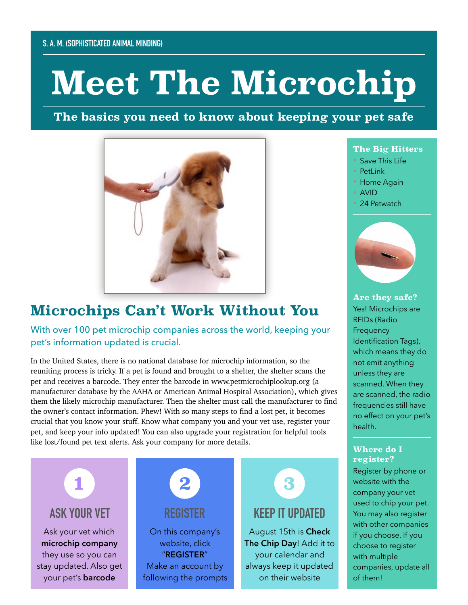# **Meet The Microchip**

**The basics you need to know about keeping your pet safe**



## **Microchips Can't Work Without You**

With over 100 pet microchip companies across the world, keeping your pet's information updated is crucial.

In the United States, there is no national database for microchip information, so the reuniting process is tricky. If a pet is found and brought to a shelter, the shelter scans the pet and receives a barcode. They enter the barcode in www.petmicrochiplookup.org (a manufacturer database by the AAHA or American Animal Hospital Association), which gives them the likely microchip manufacturer. Then the shelter must call the manufacturer to find the owner's contact information. Phew! With so many steps to find a lost pet, it becomes crucial that you know your stuff. Know what company you and your vet use, register your pet, and keep your info updated! You can also upgrade your registration for helpful tools like lost/found pet text alerts. Ask your company for more details.



#### **The Big Hitters**

- Save This Life
- PetLink
- Home Again
- AVID
- 24 Petwatch



**Are they safe?** Yes! Microchips are RFIDs (Radio **Frequency** Identification Tags), which means they do not emit anything unless they are scanned. When they are scanned, the radio frequencies still have no effect on your pet's health.

#### **Where do I register?**

Register by phone or website with the company your vet used to chip your pet. You may also register with other companies if you choose. If you choose to register with multiple companies, update all of them!